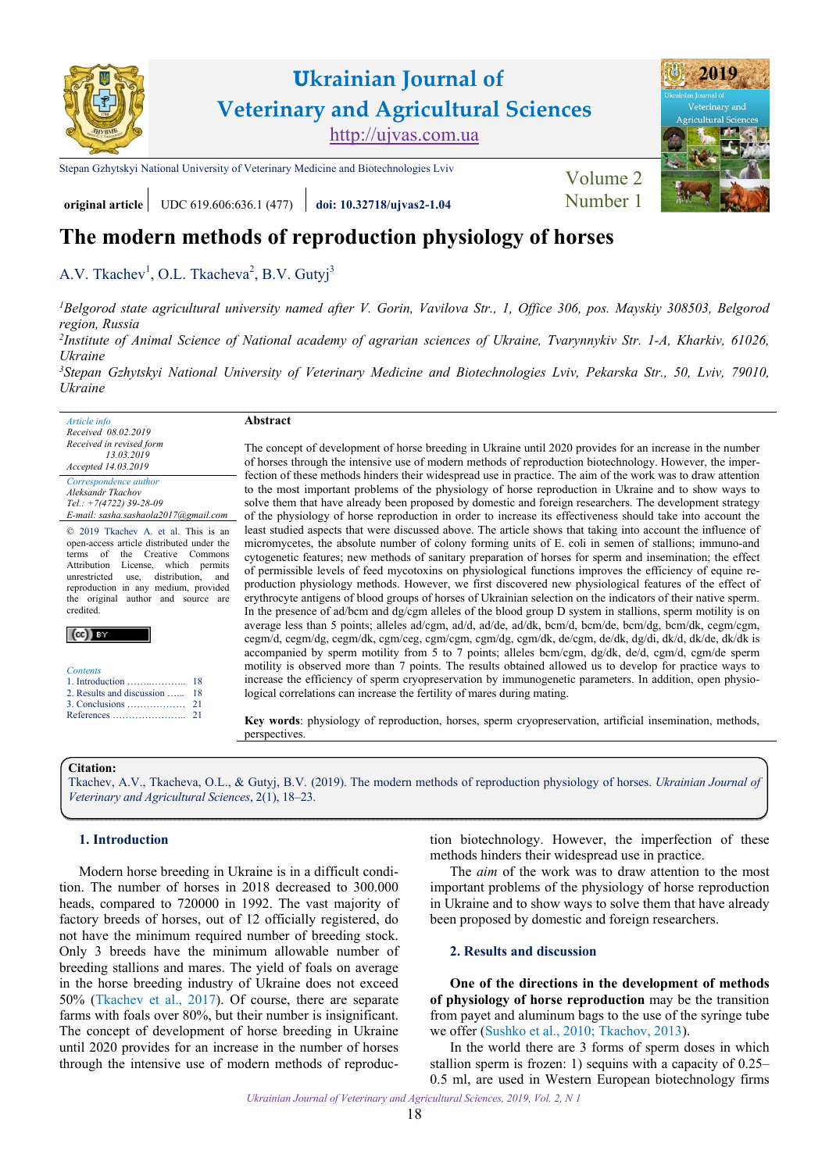

# **Ukrainian Journal of Veterinary and Agricultural Sciences** <http://ujvas.com.ua>

[Stepan Gzhytskyi National University of Veterinary Medicine and Biotechnologies Lviv](https://lvet.edu.ua) Volume 2



# **original article** UDC 619.606:636.1 (477) **[doi: 10.32718/ujvas2-1.04](https://doi.org/10.32718/ujvas2-1.04)** [Number 1](https://ujvas.com.ua/index.php/journal/issue/view/3)

## **The modern methods of reproduction physiology of horses**

[A.V. Tkachev](http://orcid.org/0000-0002-7721-5742)<sup>1</sup>, O.L. Tkacheva<sup>2</sup>, B.V. Gutyj<sup>3</sup>

*1 [Belgorod state agricultural university named after V. Gorin, Vavilova Str., 1, Office 306, pos. Mayskiy 308503, Belgorod](http://www.bsaa.edu.ru)  region, Russia* 

*2 [Institute of Animal Science of National academy of agrarian sciences of Ukraine, Tvarynnykiv Str. 1-A, Kharkiv, 61026,](http://animal.kharkov.ua)  Ukraine* 

*3 [Stepan Gzhytskyi National University of Veterinary Medicine and Biotechnologies Lviv, Pekarska Str., 50, Lviv, 79010,](https://lvet.edu.ua)  Ukraine* 

| Article info                         |
|--------------------------------------|
| Received 08.02.2019                  |
| Received in revised form             |
| 13.03.2019                           |
| Accepted 14.03.2019                  |
| Correspondence author                |
| Aleksandr Tkachov                    |
| Tel.: $+7(4722)$ 39-28-09            |
| E-mail: sasha.sashaola2017@gmail.com |

© 2019 Tkachev A. et al. This is an open-access article distributed under the<br>terms of the Creative Commons the Creative Commons Attribution License, which permits unrestricted use, distribution, and reproduction in any medium, provided the original author and source are credited.

| <b>Contents</b>                               |
|-----------------------------------------------|
|                                               |
| 2. Results and discussion<br>$3.$ Conclusions |

[References …………………..](#page-3-0)

#### **Abstract**

The concept of development of horse breeding in Ukraine until 2020 provides for an increase in the number of horses through the intensive use of modern methods of reproduction biotechnology. However, the imperfection of these methods hinders their widespread use in practice. The aim of the work was to draw attention to the most important problems of the physiology of horse reproduction in Ukraine and to show ways to solve them that have already been proposed by domestic and foreign researchers. The development strategy of the physiology of horse reproduction in order to increase its effectiveness should take into account the least studied aspects that were discussed above. The article shows that taking into account the influence of micromycetes, the absolute number of colony forming units of E. coli in semen of stallions; immuno-and cytogenetic features; new methods of sanitary preparation of horses for sperm and insemination; the effect of permissible levels of feed mycotoxins on physiological functions improves the efficiency of equine reproduction physiology methods. However, we first discovered new physiological features of the effect of erythrocyte antigens of blood groups of horses of Ukrainian selection on the indicators of their native sperm. In the presence of ad/bcm and dg/cgm alleles of the blood group D system in stallions, sperm motility is on average less than 5 points; alleles ad/cgm, ad/d, ad/de, ad/dk, bcm/d, bcm/de, bcm/dg, bcm/dk, cegm/cgm, cegm/d, cegm/dg, cegm/dk, cgm/ceg, cgm/cgm, cgm/dg, cgm/dk, de/cgm, de/dk, dg/di, dk/d, dk/de, dk/dk is accompanied by sperm motility from 5 to 7 points; alleles bcm/cgm, dg/dk, de/d, cgm/d, cgm/de sperm motility is observed more than 7 points. The results obtained allowed us to develop for practice ways to increase the efficiency of sperm cryopreservation by immunogenetic parameters. In addition, open physiological correlations can increase the fertility of mares during mating.

**Key words**: physiology of reproduction, horses, sperm cryopreservation, artificial insemination, methods, perspectives.

### **Citation:**

 $\mathbb{R}$  v

Tkachev, A.V., Tkacheva, O.L., & Gutyj, B.V. [\(2019\). The modern methods of reproduction physiology of horses.](https://doi.org/10.32718/ujvas2-1.04) *Ukrainian Journal of Veterinary and Agricultural Sciences*, 2(1), 18–23.

#### **1. Introduction**

Modern horse breeding in Ukraine is in a difficult condition. The number of horses in 2018 decreased to 300.000 heads, compared to 720000 in 1992. The vast majority of factory breeds of horses, out of 12 officially registered, do not have the minimum required number of breeding stock. Only 3 breeds have the minimum allowable number of breeding stallions and mares. The yield of foals on average in the horse breeding industry of Ukraine does not exceed 50% ([Tkachev et al., 2017](#page-4-0)). Of course, there are separate farms with foals over 80%, but their number is insignificant. The concept of development of horse breeding in Ukraine until 2020 provides for an increase in the number of horses through the intensive use of modern methods of reproduction biotechnology. However, the imperfection of these methods hinders their widespread use in practice.

The *aim* of the work was to draw attention to the most important problems of the physiology of horse reproduction in Ukraine and to show ways to solve them that have already been proposed by domestic and foreign researchers.

## **2. Results and discussion**

**One of the directions in the development of methods of physiology of horse reproduction** may be the transition from payet and aluminum bags to the use of the syringe tube we offer [\(Sushko et al., 2010;](#page-4-0) [Tkachov, 2013](#page-5-0)).

In the world there are 3 forms of sperm doses in which stallion sperm is frozen: 1) sequins with a capacity of 0.25– 0.5 ml, are used in Western European biotechnology firms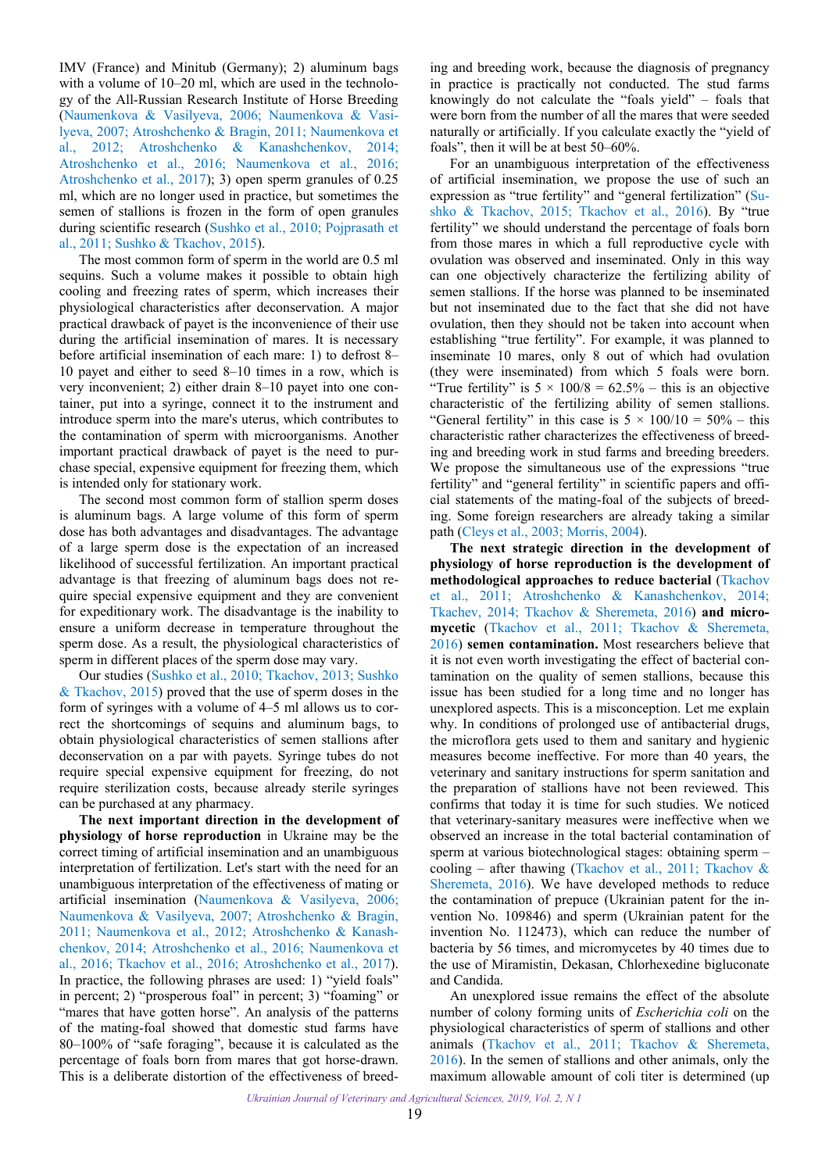IMV (France) and Minitub (Germany); 2) aluminum bags with a volume of 10–20 ml, which are used in the technology of the All-Russian Research Institute of Horse Breeding ([Naumenkova & Vasilyeva, 2006](#page-4-0); [Naumenkova & Vasi](#page-4-0)[lyeva, 2007;](#page-4-0) [Atroshchenko & Bragin, 2011](#page-4-0); [Naumenkova et](#page-4-0) [al., 2012;](#page-4-0) [Atroshchenko & Kanashchenkov, 2014;](#page-4-0) [Atroshchenko et al., 2016;](#page-4-0) [Naumenkova et al., 2016;](#page-4-0) [Atroshchenko et al., 2017](#page-4-0)); 3) open sperm granules of 0.25 ml, which are no longer used in practice, but sometimes the semen of stallions is frozen in the form of open granules during scientific research ([Sushko et al., 2010](#page-4-0); [Pojprasath et](#page-4-0) [al., 2011](#page-4-0); [Sushko & Tkachov, 2015\)](#page-4-0).

The most common form of sperm in the world are 0.5 ml sequins. Such a volume makes it possible to obtain high cooling and freezing rates of sperm, which increases their physiological characteristics after deconservation. A major practical drawback of payet is the inconvenience of their use during the artificial insemination of mares. It is necessary before artificial insemination of each mare: 1) to defrost 8– 10 payet and either to seed 8–10 times in a row, which is very inconvenient; 2) either drain 8–10 payet into one container, put into a syringe, connect it to the instrument and introduce sperm into the mare's uterus, which contributes to the contamination of sperm with microorganisms. Another important practical drawback of payet is the need to purchase special, expensive equipment for freezing them, which is intended only for stationary work.

The second most common form of stallion sperm doses is aluminum bags. A large volume of this form of sperm dose has both advantages and disadvantages. The advantage of a large sperm dose is the expectation of an increased likelihood of successful fertilization. An important practical advantage is that freezing of aluminum bags does not require special expensive equipment and they are convenient for expeditionary work. The disadvantage is the inability to ensure a uniform decrease in temperature throughout the sperm dose. As a result, the physiological characteristics of sperm in different places of the sperm dose may vary.

Our studies ([Sushko et al., 2010;](#page-4-0) [Tkachov, 2013](#page-5-0); [Sushko](#page-4-0) [& Tkachov, 2015\)](#page-4-0) proved that the use of sperm doses in the form of syringes with a volume of 4–5 ml allows us to correct the shortcomings of sequins and aluminum bags, to obtain physiological characteristics of semen stallions after deconservation on a par with payets. Syringe tubes do not require special expensive equipment for freezing, do not require sterilization costs, because already sterile syringes can be purchased at any pharmacy.

**The next important direction in the development of physiology of horse reproduction** in Ukraine may be the correct timing of artificial insemination and an unambiguous interpretation of fertilization. Let's start with the need for an unambiguous interpretation of the effectiveness of mating or artificial insemination ([Naumenkova & Vasilyeva, 2006;](#page-4-0) [Naumenkova & Vasilyeva, 2007](#page-4-0); [Atroshchenko & Bragin,](#page-4-0) [2011;](#page-4-0) [Naumenkova et al., 2012](#page-4-0); [Atroshchenko & Kanash](#page-4-0)[chenkov, 2014;](#page-4-0) [Atroshchenko et al., 2016;](#page-4-0) [Naumenkova et](#page-4-0) [al., 2016](#page-4-0); [Tkachov et al., 2016;](#page-5-0) [Atroshchenko et al., 2017](#page-4-0)). In practice, the following phrases are used: 1) "yield foals" in percent; 2) "prosperous foal" in percent; 3) "foaming" or "mares that have gotten horse". An analysis of the patterns of the mating-foal showed that domestic stud farms have 80–100% of "safe foraging", because it is calculated as the percentage of foals born from mares that got horse-drawn. This is a deliberate distortion of the effectiveness of breed-

ing and breeding work, because the diagnosis of pregnancy in practice is practically not conducted. The stud farms knowingly do not calculate the "foals yield" – foals that were born from the number of all the mares that were seeded naturally or artificially. If you calculate exactly the "yield of foals", then it will be at best 50–60%.

For an unambiguous interpretation of the effectiveness of artificial insemination, we propose the use of such an expression as "true fertility" and "general fertilization" ([Su](#page-4-0)[shko & Tkachov, 2015](#page-4-0); [Tkachov et al., 2016](#page-5-0)). By "true fertility" we should understand the percentage of foals born from those mares in which a full reproductive cycle with ovulation was observed and inseminated. Only in this way can one objectively characterize the fertilizing ability of semen stallions. If the horse was planned to be inseminated but not inseminated due to the fact that she did not have ovulation, then they should not be taken into account when establishing "true fertility". For example, it was planned to inseminate 10 mares, only 8 out of which had ovulation (they were inseminated) from which 5 foals were born. "True fertility" is  $5 \times 100/8 = 62.5\%$  – this is an objective characteristic of the fertilizing ability of semen stallions. "General fertility" in this case is  $5 \times 100/10 = 50\%$  – this characteristic rather characterizes the effectiveness of breeding and breeding work in stud farms and breeding breeders. We propose the simultaneous use of the expressions "true fertility" and "general fertility" in scientific papers and official statements of the mating-foal of the subjects of breeding. Some foreign researchers are already taking a similar path [\(Cleys et al., 2003; Morris, 2004](#page-4-0)).

**The next strategic direction in the development of physiology of horse reproduction is the development of methodological approaches to reduce bacterial** ([Tkachov](#page-5-0)  [et al., 2011;](#page-5-0) [Atroshchenko & Kanashchenkov, 2014;](#page-4-0) [Tkachev, 2014](#page-5-0); [Tkachov & Sheremeta, 2016\)](#page-5-0) **and micromycetic** [\(Tkachov et al., 2011](#page-5-0); [Tkachov & Sheremeta](#page-5-0), [2016](#page-5-0)) **semen contamination.** Most researchers believe that it is not even worth investigating the effect of bacterial contamination on the quality of semen stallions, because this issue has been studied for a long time and no longer has unexplored aspects. This is a misconception. Let me explain why. In conditions of prolonged use of antibacterial drugs, the microflora gets used to them and sanitary and hygienic measures become ineffective. For more than 40 years, the veterinary and sanitary instructions for sperm sanitation and the preparation of stallions have not been reviewed. This confirms that today it is time for such studies. We noticed that veterinary-sanitary measures were ineffective when we observed an increase in the total bacterial contamination of sperm at various biotechnological stages: obtaining sperm – cooling – after thawing [\(Tkachov et al., 2011;](#page-5-0) Tkachov & [Sheremeta, 2016](#page-5-0)). We have developed methods to reduce the contamination of prepuce (Ukrainian patent for the invention No. 109846) and sperm (Ukrainian patent for the invention No. 112473), which can reduce the number of bacteria by 56 times, and micromycetes by 40 times due to the use of Miramistin, Dekasan, Chlorhexedine bigluconate and Candida.

An unexplored issue remains the effect of the absolute number of colony forming units of *Escherichia coli* on the physiological characteristics of sperm of stallions and other animals ([Tkachov et al., 2011](#page-5-0); [Tkachov & Sheremeta](#page-5-0), [2016](#page-5-0)). In the semen of stallions and other animals, only the maximum allowable amount of coli titer is determined (up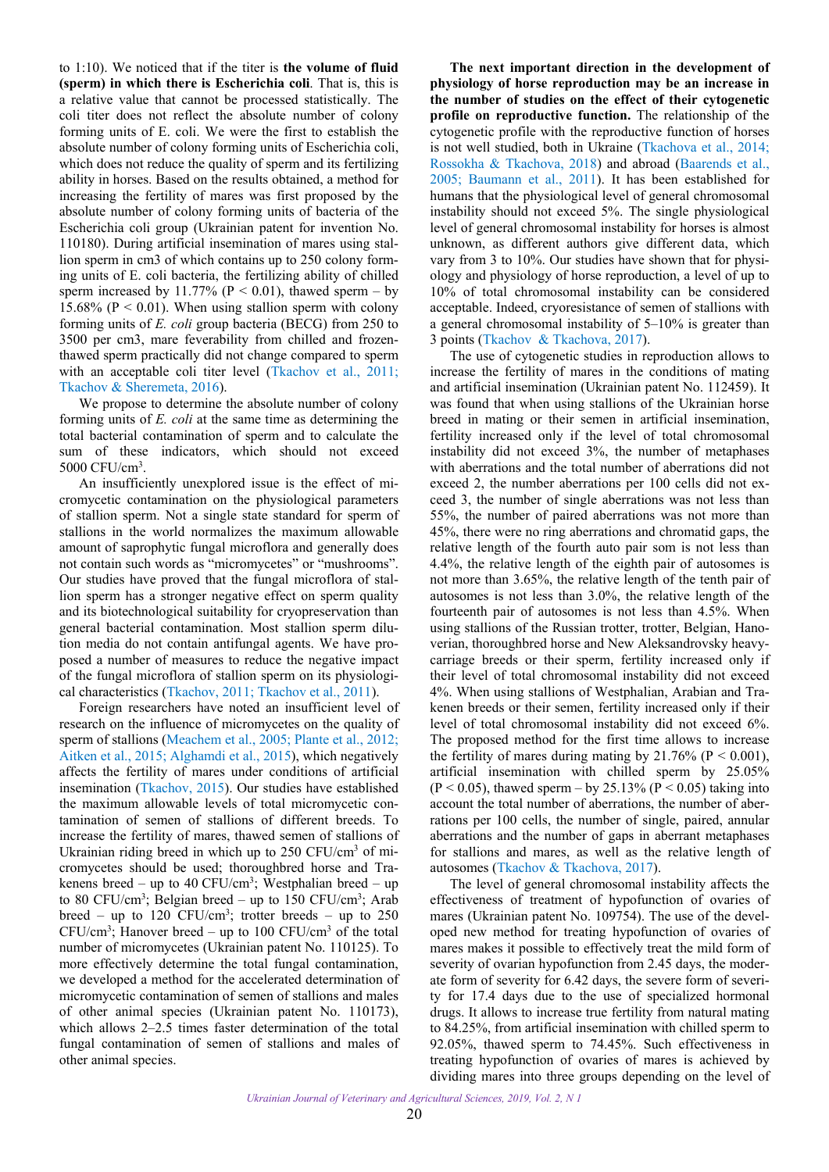to 1:10). We noticed that if the titer is **the volume of fluid (sperm) in which there is Escherichia coli**. That is, this is a relative value that cannot be processed statistically. The coli titer does not reflect the absolute number of colony forming units of E. coli. We were the first to establish the absolute number of colony forming units of Escherichia coli, which does not reduce the quality of sperm and its fertilizing ability in horses. Based on the results obtained, a method for increasing the fertility of mares was first proposed by the absolute number of colony forming units of bacteria of the Escherichia coli group (Ukrainian patent for invention No. 110180). During artificial insemination of mares using stallion sperm in cm3 of which contains up to 250 colony forming units of E. coli bacteria, the fertilizing ability of chilled sperm increased by 11.77% ( $P < 0.01$ ), thawed sperm – by 15.68% ( $P < 0.01$ ). When using stallion sperm with colony forming units of *E. coli* group bacteria (BECG) from 250 to 3500 per cm3, mare feverability from chilled and frozenthawed sperm practically did not change compared to sperm with an acceptable coli titer level ([Tkachov et al., 2011;](#page-5-0) [Tkachov & Sheremeta, 2016\)](#page-5-0).

We propose to determine the absolute number of colony forming units of *E. coli* at the same time as determining the total bacterial contamination of sperm and to calculate the sum of these indicators, which should not exceed 5000 CFU/cm3 .

An insufficiently unexplored issue is the effect of micromycetic contamination on the physiological parameters of stallion sperm. Not a single state standard for sperm of stallions in the world normalizes the maximum allowable amount of saprophytic fungal microflora and generally does not contain such words as "micromycetes" or "mushrooms". Our studies have proved that the fungal microflora of stallion sperm has a stronger negative effect on sperm quality and its biotechnological suitability for cryopreservation than general bacterial contamination. Most stallion sperm dilution media do not contain antifungal agents. We have proposed a number of measures to reduce the negative impact of the fungal microflora of stallion sperm on its physiological characteristics ([Tkachov, 2011; Tkachov et al., 2011\)](#page-5-0).

Foreign researchers have noted an insufficient level of research on the influence of micromycetes on the quality of sperm of stallions ([Meachem et al., 2005](#page-4-0); [Plante et al., 2012;](#page-4-0) [Aitken et al., 2015; Alghamdi et al., 2015](#page-3-0)), which negatively affects the fertility of mares under conditions of artificial insemination ([Tkachov, 2015](#page-5-0)). Our studies have established the maximum allowable levels of total micromycetic contamination of semen of stallions of different breeds. To increase the fertility of mares, thawed semen of stallions of Ukrainian riding breed in which up to 250 CFU/cm<sup>3</sup> of micromycetes should be used; thoroughbred horse and Trakenens breed – up to 40 CFU/cm<sup>3</sup>; Westphalian breed – up to 80 CFU/cm<sup>3</sup>; Belgian breed – up to 150 CFU/cm<sup>3</sup>; Arab breed – up to 120 CFU/cm<sup>3</sup>; trotter breeds – up to 250  $CFU/cm<sup>3</sup>$ ; Hanover breed – up to 100 CFU/cm<sup>3</sup> of the total number of micromycetes (Ukrainian patent No. 110125). To more effectively determine the total fungal contamination, we developed a method for the accelerated determination of micromycetic contamination of semen of stallions and males of other animal species (Ukrainian patent No. 110173), which allows 2–2.5 times faster determination of the total fungal contamination of semen of stallions and males of other animal species.

**The next important direction in the development of physiology of horse reproduction may be an increase in the number of studies on the effect of their cytogenetic profile on reproductive function.** The relationship of the cytogenetic profile with the reproductive function of horses is not well studied, both in Ukraine [\(Tkachova et al., 2014;](#page-5-0) [Rossokha & Tkachova, 2018\)](#page-4-0) and abroad ([Baarends et al.,](#page-4-0)  [2005](#page-4-0); [Baumann et al., 2011\)](#page-4-0). It has been established for humans that the physiological level of general chromosomal instability should not exceed 5%. The single physiological level of general chromosomal instability for horses is almost unknown, as different authors give different data, which vary from 3 to 10%. Our studies have shown that for physiology and physiology of horse reproduction, a level of up to 10% of total chromosomal instability can be considered acceptable. Indeed, cryoresistance of semen of stallions with a general chromosomal instability of 5–10% is greater than 3 points ([Tkachov & Tkachova, 2017\)](#page-5-0).

The use of cytogenetic studies in reproduction allows to increase the fertility of mares in the conditions of mating and artificial insemination (Ukrainian patent No. 112459). It was found that when using stallions of the Ukrainian horse breed in mating or their semen in artificial insemination, fertility increased only if the level of total chromosomal instability did not exceed 3%, the number of metaphases with aberrations and the total number of aberrations did not exceed 2, the number aberrations per 100 cells did not exceed 3, the number of single aberrations was not less than 55%, the number of paired aberrations was not more than 45%, there were no ring aberrations and chromatid gaps, the relative length of the fourth auto pair som is not less than 4.4%, the relative length of the eighth pair of autosomes is not more than 3.65%, the relative length of the tenth pair of autosomes is not less than 3.0%, the relative length of the fourteenth pair of autosomes is not less than 4.5%. When using stallions of the Russian trotter, trotter, Belgian, Hanoverian, thoroughbred horse and New Aleksandrovsky heavycarriage breeds or their sperm, fertility increased only if their level of total chromosomal instability did not exceed 4%. When using stallions of Westphalian, Arabian and Trakenen breeds or their semen, fertility increased only if their level of total chromosomal instability did not exceed 6%. The proposed method for the first time allows to increase the fertility of mares during mating by  $21.76\%$  (P < 0.001), artificial insemination with chilled sperm by 25.05%  $(P < 0.05)$ , thawed sperm – by 25.13%  $(P < 0.05)$  taking into account the total number of aberrations, the number of aberrations per 100 cells, the number of single, paired, annular aberrations and the number of gaps in aberrant metaphases for stallions and mares, as well as the relative length of autosomes [\(Tkachov & Tkachova, 2017](#page-5-0)).

The level of general chromosomal instability affects the effectiveness of treatment of hypofunction of ovaries of mares (Ukrainian patent No. 109754). The use of the developed new method for treating hypofunction of ovaries of mares makes it possible to effectively treat the mild form of severity of ovarian hypofunction from 2.45 days, the moderate form of severity for 6.42 days, the severe form of severity for 17.4 days due to the use of specialized hormonal drugs. It allows to increase true fertility from natural mating to 84.25%, from artificial insemination with chilled sperm to 92.05%, thawed sperm to 74.45%. Such effectiveness in treating hypofunction of ovaries of mares is achieved by dividing mares into three groups depending on the level of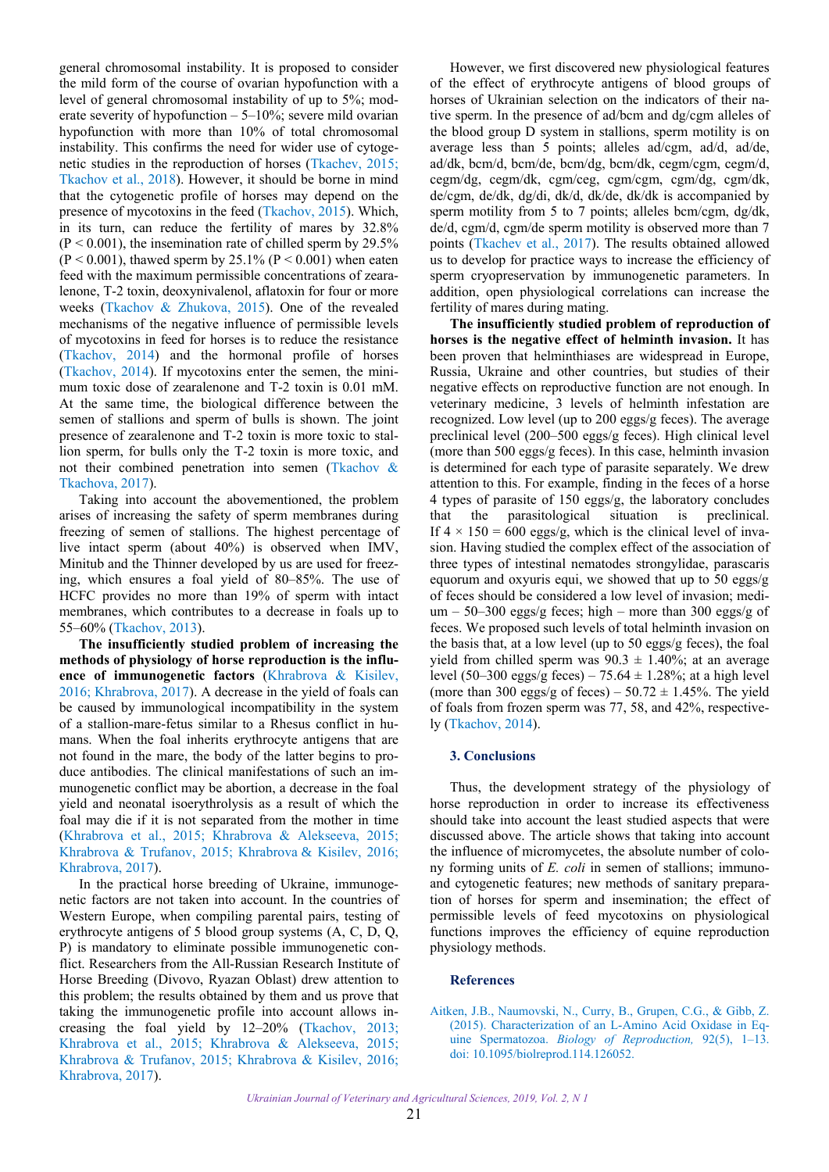<span id="page-3-0"></span>general chromosomal instability. It is proposed to consider the mild form of the course of ovarian hypofunction with a level of general chromosomal instability of up to 5%; moderate severity of hypofunction  $-5-10\%$ ; severe mild ovarian hypofunction with more than 10% of total chromosomal instability. This confirms the need for wider use of cytogenetic studies in the reproduction of horses [\(Tkachev, 2015](#page-4-0); [Tkachov et al., 2018](#page-5-0)). However, it should be borne in mind that the cytogenetic profile of horses may depend on the presence of mycotoxins in the feed ([Tkachov, 2015\)](#page-5-0). Which, in its turn, can reduce the fertility of mares by 32.8%  $(P < 0.001)$ , the insemination rate of chilled sperm by 29.5%  $(P < 0.001)$ , thawed sperm by 25.1%  $(P < 0.001)$  when eaten feed with the maximum permissible concentrations of zearalenone, T-2 toxin, deoxynivalenol, aflatoxin for four or more weeks ([Tkachov & Zhukova, 2015\)](#page-5-0). One of the revealed mechanisms of the negative influence of permissible levels of mycotoxins in feed for horses is to reduce the resistance ([Tkachov, 2014](#page-5-0)) and the hormonal profile of horses ([Tkachov, 2014](#page-5-0)). If mycotoxins enter the semen, the minimum toxic dose of zearalenone and T-2 toxin is 0.01 mM. At the same time, the biological difference between the semen of stallions and sperm of bulls is shown. The joint presence of zearalenone and T-2 toxin is more toxic to stallion sperm, for bulls only the T-2 toxin is more toxic, and not their combined penetration into semen ([Tkachov &](#page-5-0) [Tkachova, 2017\)](#page-5-0).

Taking into account the abovementioned, the problem arises of increasing the safety of sperm membranes during freezing of semen of stallions. The highest percentage of live intact sperm (about 40%) is observed when IMV, Minitub and the Thinner developed by us are used for freezing, which ensures a foal yield of 80–85%. The use of HCFC provides no more than 19% of sperm with intact membranes, which contributes to a decrease in foals up to 55–60% ([Tkachov, 2013\)](#page-5-0).

**The insufficiently studied problem of increasing the methods of physiology of horse reproduction is the influence of immunogenetic factors** [\(Khrabrova & Kisilev,](#page-4-0) [2016;](#page-4-0) [Khrabrova, 2017\)](#page-4-0). A decrease in the yield of foals can be caused by immunological incompatibility in the system of a stallion-mare-fetus similar to a Rhesus conflict in humans. When the foal inherits erythrocyte antigens that are not found in the mare, the body of the latter begins to produce antibodies. The clinical manifestations of such an immunogenetic conflict may be abortion, a decrease in the foal yield and neonatal isoerythrolysis as a result of which the foal may die if it is not separated from the mother in time ([Khrabrova et al., 2015](#page-4-0); [Khrabrova & Alekseeva, 2015;](#page-4-0) [Khrabrova & Trufanov, 2015;](#page-4-0) Khrabrova & [Kisilev, 2016;](#page-4-0) [Khrabrova, 2017](#page-4-0)).

In the practical horse breeding of Ukraine, immunogenetic factors are not taken into account. In the countries of Western Europe, when compiling parental pairs, testing of erythrocyte antigens of 5 blood group systems (A, C, D, Q, P) is mandatory to eliminate possible immunogenetic conflict. Researchers from the All-Russian Research Institute of Horse Breeding (Divovo, Ryazan Oblast) drew attention to this problem; the results obtained by them and us prove that taking the immunogenetic profile into account allows increasing the foal yield by 12–20% [\(Tkachov, 2013;](#page-5-0) [Khrabrova et al., 2015](#page-4-0); [Khrabrova & Alekseeva, 2015;](#page-4-0) [Khrabrova & Trufanov, 2015;](#page-4-0) [Khrabrova & Kisilev, 2016;](#page-4-0) [Khrabrova, 2017](#page-4-0)).

However, we first discovered new physiological features of the effect of erythrocyte antigens of blood groups of horses of Ukrainian selection on the indicators of their native sperm. In the presence of ad/bcm and dg/cgm alleles of the blood group D system in stallions, sperm motility is on average less than 5 points; alleles ad/cgm, ad/d, ad/de, ad/dk, bcm/d, bcm/de, bcm/dg, bcm/dk, cegm/cgm, cegm/d, cegm/dg, cegm/dk, cgm/ceg, cgm/cgm, cgm/dg, cgm/dk, de/cgm, de/dk, dg/di, dk/d, dk/de, dk/dk is accompanied by sperm motility from 5 to 7 points; alleles bcm/cgm, dg/dk, de/d, cgm/d, cgm/de sperm motility is observed more than 7 points [\(Tkachev et al., 2017\)](#page-4-0). The results obtained allowed us to develop for practice ways to increase the efficiency of sperm cryopreservation by immunogenetic parameters. In addition, open physiological correlations can increase the fertility of mares during mating.

**The insufficiently studied problem of reproduction of horses is the negative effect of helminth invasion.** It has been proven that helminthiases are widespread in Europe, Russia, Ukraine and other countries, but studies of their negative effects on reproductive function are not enough. In veterinary medicine, 3 levels of helminth infestation are recognized. Low level (up to 200 eggs/g feces). The average preclinical level (200–500 eggs/g feces). High clinical level (more than 500 eggs/g feces). In this case, helminth invasion is determined for each type of parasite separately. We drew attention to this. For example, finding in the feces of a horse 4 types of parasite of 150 eggs/g, the laboratory concludes that the parasitological situation is preclinical. If  $4 \times 150 = 600$  eggs/g, which is the clinical level of invasion. Having studied the complex effect of the association of three types of intestinal nematodes strongylidae, parascaris equorum and oxyuris equi, we showed that up to 50 eggs/g of feces should be considered a low level of invasion; medi $um - 50-300$  eggs/g feces; high – more than 300 eggs/g of feces. We proposed such levels of total helminth invasion on the basis that, at a low level (up to 50 eggs/g feces), the foal yield from chilled sperm was  $90.3 \pm 1.40\%$ ; at an average level (50–300 eggs/g feces) – 75.64  $\pm$  1.28%; at a high level (more than 300 eggs/g of feces) – 50.72  $\pm$  1.45%. The yield of foals from frozen sperm was 77, 58, and 42%, respectively ([Tkachov, 2014\)](#page-5-0).

#### **3. Conclusions**

Thus, the development strategy of the physiology of horse reproduction in order to increase its effectiveness should take into account the least studied aspects that were discussed above. The article shows that taking into account the influence of micromycetes, the absolute number of colony forming units of *E. coli* in semen of stallions; immunoand cytogenetic features; new methods of sanitary preparation of horses for sperm and insemination; the effect of permissible levels of feed mycotoxins on physiological functions improves the efficiency of equine reproduction physiology methods.

### **References**

[Aitken, J.B., Naumovski, N., Curry, B., Grupen, C.G., & Gibb, Z.](https://doi.org/10.1095/biolreprod.114.126052)  (2015). Characterization of an L-Amino Acid Oxidase in Equine Spermatozoa. *Biology of Reproduction,* 92(5), 1–13. doi: 10.1095/biolreprod.114.126052.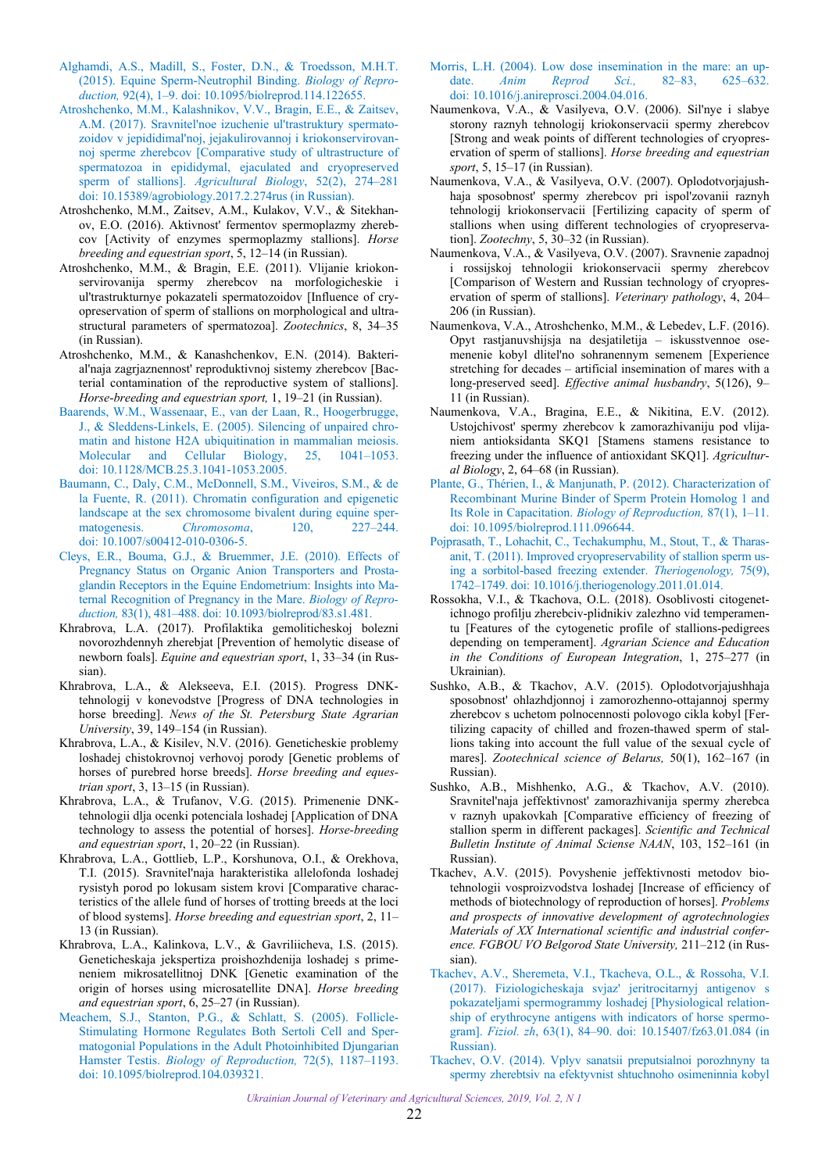- <span id="page-4-0"></span>[Alghamdi, A.S., Madill, S., Foster, D.N., & Troedsson, M.H.T.](https://doi.org/10.1095/biolreprod.114.122655) (2015). Equine Sperm-Neutrophil Binding. *Biology of Reproduction,* 92(4), 1–9. doi: 10.1095/biolreprod.114.122655.
- [Atroshchenko, M.M., Kalashnikov, V.V., Bragin, E.E., & Zaitsev,](https://doi.org/10.15389/agrobiology.2017.2.274rus) A.M. (2017). Sravnitel'noe izuchenie ul'trastruktury spermatozoidov v jepididimal'noj, jejakulirovannoj i kriokonservirovannoj sperme zherebcov [Comparative study of ultrastructure of spermatozoa in epididymal, ejaculated and cryopreserved sperm of stallions]. *Agricultural Biology*, 52(2), 274–281 doi: 10.15389/agrobiology.2017.2.274rus (in Russian).
- Atroshchenko, M.M., Zaitsev, A.M., Kulakov, V.V., & Sitekhanov, E.O. (2016). Aktivnost' fermentov spermoplazmy zherebcov [Activity of enzymes spermoplazmy stallions]. *Horse breeding and equestrian sport*, 5, 12–14 (in Russian).
- Atroshchenko, M.М., & Bragin, E.E. (2011). Vlijanie kriokonservirovanija spermy zherebcov na morfologicheskie i ul'trastrukturnye pokazateli spermatozoidov [Influence of cryopreservation of sperm of stallions on morphological and ultrastructural parameters of spermatozoa]. *Zootechnics*, 8, 34–35 (in Russian).
- Atroshchenko, M.М., & Kanashchenkov, E.N. (2014). Bakterial'naja zagrjaznennost' reproduktivnoj sistemy zherebcov [Bacterial contamination of the reproductive system of stallions]. *Horse-breeding and equestrian sport,* 1, 19–21 (in Russian).
- [Baarends, W.M., Wassenaar, E., van der Laan, R., Hoogerbrugge,](https://doi.org/10.1128/MCB.25.3.1041-1053.2005) J., & Sleddens-Linkels, E. (2005). Silencing of unpaired chromatin and histone H2A ubiquitination in mammalian meiosis. Molecular and Cellular Biology, 25, 1041–1053. doi: 10.1128/MCB.25.3.1041-1053.2005.
- [Baumann, C., Daly, C.M., McDonnell, S.M., Viveiros, S.M., & de](https://doi.org/10.1007/s00412-010-0306-5) la Fuente, R. (2011). Chromatin configuration and epigenetic landscape at the sex chromosome bivalent during equine spermatogenesis. *Chromosoma*, 120, 227–244. doi: 10.1007/s00412-010-0306-5.
- [Cleys, E.R., Bouma, G.J., & Bruemmer, J.E. \(2010\). Effects of](https://doi.org/10.1093/biolreprod/83.s1.481) Pregnancy Status on Organic Anion Transporters and Prostaglandin Receptors in the Equine Endometrium: Insights into Maternal Recognition of Pregnancy in the Mare. *Biology of Reproduction,* 83(1), 481–488. doi: 10.1093/biolreprod/83.s1.481.
- Khrabrova, L.A. (2017). Profilaktika gemoliticheskoj bolezni novorozhdennyh zherebjat [Prevention of hemolytic disease of newborn foals]. *Equine and equestrian sport*, 1, 33–34 (in Russian).
- Khrabrova, L.A., & Alekseeva, E.I. (2015). Progress DNKtehnologij v konevodstve [Progress of DNA technologies in horse breeding]. *News of the St. Petersburg State Agrarian University*, 39, 149–154 (in Russian).
- Khrabrova, L.A., & Kisilev, N.V. (2016). Geneticheskie problemy loshadej chistokrovnoj verhovoj porody [Genetic problems of horses of purebred horse breeds]. *Horse breeding and equestrian sport*, 3, 13–15 (in Russian).
- Khrabrova, L.A., & Trufanov, V.G. (2015). Primenenie DNKtehnologii dlja ocenki potenciala loshadej [Application of DNA technology to assess the potential of horses]. *Horse-breeding and equestrian sport*, 1, 20–22 (in Russian).
- Khrabrova, L.A., Gottlieb, L.P., Korshunova, O.I., & Orekhova, T.I. (2015). Sravnitel'naja harakteristika allelofonda loshadej rysistyh porod po lokusam sistem krovi [Comparative characteristics of the allele fund of horses of trotting breeds at the loci of blood systems]. *Horse breeding and equestrian sport*, 2, 11– 13 (in Russian).
- Khrabrova, L.A., Kalinkova, L.V., & Gavriliicheva, I.S. (2015). Geneticheskaja jekspertiza proishozhdenija loshadej s primeneniem mikrosatellitnoj DNK [Genetic examination of the origin of horses using microsatellite DNA]. *Horse breeding and equestrian sport*, 6, 25–27 (in Russian).
- [Meachem, S.J., Stanton, P.G., & Schlatt, S. \(2005\). Follicle-](https://doi.org/10.1095/biolreprod.104.039321)Stimulating Hormone Regulates Both Sertoli Cell and Spermatogonial Populations in the Adult Photoinhibited Djungarian Hamster Testis. *Biology of Reproduction,* 72(5), 1187–1193. doi: 10.1095/biolreprod.104.039321.
- [Morris, L.H. \(2004\). Low dose insemination in the mare: an up](https://doi.org/10.1016/j.anireprosci.2004.04.016)date. *Anim Reprod Sci.,* 82–83, 625–632. doi: 10.1016/j.anireprosci.2004.04.016.
- Naumenkova, V.A., & Vasilyeva, O.V. (2006). Sil'nye i slabye storony raznyh tehnologij kriokonservacii spermy zherebcov [Strong and weak points of different technologies of cryopreservation of sperm of stallions]. *Horse breeding and equestrian sport*, 5, 15–17 (in Russian).
- Naumenkova, V.A., & Vasilyeva, O.V. (2007). Oplodotvorjajushhaja sposobnost' spermy zherebcov pri ispol'zovanii raznyh tehnologij kriokonservacii [Fertilizing capacity of sperm of stallions when using different technologies of cryopreservation]. *Zootechny*, 5, 30–32 (in Russian).
- Naumenkova, V.A., & Vasilyeva, O.V. (2007). Sravnenie zapadnoj i rossijskoj tehnologii kriokonservacii spermy zherebcov [Comparison of Western and Russian technology of cryopreservation of sperm of stallions]. *Veterinary pathology*, 4, 204– 206 (in Russian).
- Naumenkova, V.A., Atroshchenko, M.M., & Lebedev, L.F. (2016). Opyt rastjanuvshijsja na desjatiletija – iskusstvennoe osemenenie kobyl dlitel'no sohranennym semenem [Experience stretching for decades – artificial insemination of mares with a long-preserved seed]. *Effective animal husbandry*, 5(126), 9– 11 (in Russian).
- Naumenkova, V.A., Bragina, E.E., & Nikitina, E.V. (2012). Ustojchivost' spermy zherebcov k zamorazhivaniju pod vlijaniem antioksidanta SKQ1 [Stamens stamens resistance to freezing under the influence of antioxidant SKQ1]. *Agricultural Biology*, 2, 64–68 (in Russian).
- [Plante, G., Thérien, I., & Manjunath, P. \(2012\). Characterization of](https://doi.org/10.1095/biolreprod.111.096644)  Recombinant Murine Binder of Sperm Protein Homolog 1 and Its Role in Capacitation. *Biology of Reproduction,* 87(1), 1–11. doi: 10.1095/biolreprod.111.096644.
- [Pojprasath, T., Lohachit, C., Techakumphu, M., Stout, T., & Tharas](https://doi.org/10.1016/j.theriogenology.2011.01.014)anit, T. (2011). Improved cryopreservability of stallion sperm using a sorbitol-based freezing extender. *Theriogenology,* 75(9), 1742–1749. doi: 10.1016/j.theriogenology.2011.01.014.
- Rossokha, V.І., & Tkachova, O.L. (2018). Osoblivostі citogenetichnogo profіlju zherebcіv-plіdnikіv zalezhno vіd temperamentu [Features of the cytogenetic profile of stallions-pedigrees depending on temperament]. *Agrarian Science and Education in the Conditions of European Integration*, 1, 275–277 (in Ukrainian).
- Sushko, A.B., & Tkachov, A.V. (2015). Oplodotvorjajushhaja sposobnost' ohlazhdjonnoj i zamorozhenno-ottajannoj spermy zherebcov s uchetom polnocennosti polovogo cikla kobyl [Fertilizing capacity of chilled and frozen-thawed sperm of stallions taking into account the full value of the sexual cycle of mares]. *Zootechnical science of Belarus,* 50(1), 162–167 (in Russian).
- Sushko, A.B., Mishhenko, A.G., & Tkachov, A.V. (2010). Sravnitel'naja jeffektivnost' zamorazhivanija spermy zherebca v raznyh upakovkah [Comparative efficiency of freezing of stallion sperm in different packages]. *Scientific and Technical Bulletin Institute of Animal Sciense NAAN*, 103, 152–161 (in Russian).
- Tkachev, A.V. (2015). Povyshenie jeffektivnosti metodov biotehnologii vosproizvodstva loshadej [Increase of efficiency of methods of biotechnology of reproduction of horses]. *Problems and prospects of innovative development of agrotechnologies Materials of XX International scientific and industrial conference. FGBOU VO Belgorod State University,* 211–212 (in Russian).
- [Tkachev, A.V., Sheremeta, V.I., Tkacheva, O.L., & Rossoha, V.I.](https://doi.org/10.15407/fz63.01.084) (2017). Fiziologicheskaja svjaz' jeritrocitarnyj antigenov s pokazateljami spermogrammy loshadej [Physiological relationship of erythrocyne antigens with indicators of horse spermogram]. *Fiziol. zh*, 63(1), 84–90. doi: 10.15407/fz63.01.084 (in Russian).
- [Tkachev, O.V. \(2014\). Vplyv sanatsii preputsialnoi porozhnyny ta](http://nbuv.gov.ua/UJRN/Vsna_tvar_2014_2%281%29__44)  spermy zherebtsiv na efektyvnist shtuchnoho osimeninnia kobyl

*Ukrainian Journal of Veterinary and Agricultural Sciences, 2019, Vol. 2, N 1*